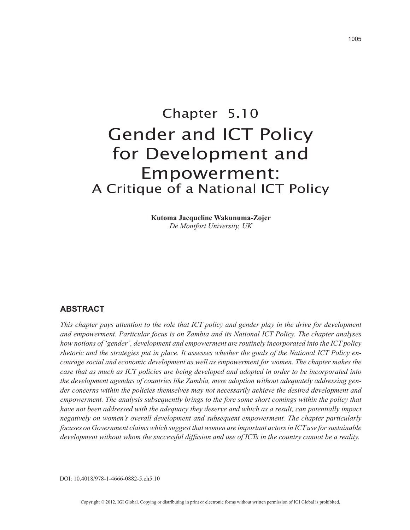# Chapter 5.10 Gender and ICT Policy for Development and Empowerment: A Critique of a National ICT Policy

**Kutoma Jacqueline Wakunuma-Zojer** *De Montfort University, UK*

# **ABSTRACT**

*This chapter pays attention to the role that ICT policy and gender play in the drive for development and empowerment. Particular focus is on Zambia and its National ICT Policy. The chapter analyses how notions of 'gender', development and empowerment are routinely incorporated into the ICT policy rhetoric and the strategies put in place. It assesses whether the goals of the National ICT Policy encourage social and economic development as well as empowerment for women. The chapter makes the case that as much as ICT policies are being developed and adopted in order to be incorporated into the development agendas of countries like Zambia, mere adoption without adequately addressing gender concerns within the policies themselves may not necessarily achieve the desired development and empowerment. The analysis subsequently brings to the fore some short comings within the policy that have not been addressed with the adequacy they deserve and which as a result, can potentially impact negatively on women's overall development and subsequent empowerment. The chapter particularly focuses on Government claims which suggest that women are important actors in ICT use for sustainable development without whom the successful diffusion and use of ICTs in the country cannot be a reality.*

DOI: 10.4018/978-1-4666-0882-5.ch5.10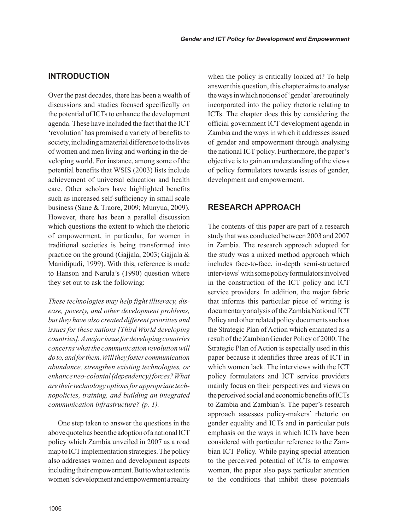### **INTRODUCTION**

Over the past decades, there has been a wealth of discussions and studies focused specifically on the potential of ICTs to enhance the development agenda. These have included the fact that the ICT 'revolution' has promised a variety of benefits to society, including a material difference to the lives of women and men living and working in the developing world. For instance, among some of the potential benefits that WSIS (2003) lists include achievement of universal education and health care. Other scholars have highlighted benefits such as increased self-sufficiency in small scale business (Sane & Traore, 2009; Munyua, 2009). However, there has been a parallel discussion which questions the extent to which the rhetoric of empowerment, in particular, for women in traditional societies is being transformed into practice on the ground (Gajjala, 2003; Gajjala & Manidipudi, 1999). With this, reference is made to Hanson and Narula's (1990) question where they set out to ask the following:

*These technologies may help fight illiteracy, disease, poverty, and other development problems, but they have also created different priorities and issues for these nations [Third World developing countries]. A major issue for developing countries concerns what the communication revolution will do to, and for them. Will they foster communication abundance, strengthen existing technologies, or enhance neo-colonial (dependency) forces? What are their technology options for appropriate technopolicies, training, and building an integrated communication infrastructure? (p. 1).* 

One step taken to answer the questions in the above quote has been the adoption of a national ICT policy which Zambia unveiled in 2007 as a road map to ICT implementation strategies. The policy also addresses women and development aspects including their empowerment. But to what extent is women's development and empowerment a reality when the policy is critically looked at? To help answer this question, this chapter aims to analyse the ways in which notions of 'gender' are routinely incorporated into the policy rhetoric relating to ICTs. The chapter does this by considering the official government ICT development agenda in Zambia and the ways in which it addresses issued of gender and empowerment through analysing the national ICT policy. Furthermore, the paper's objective is to gain an understanding of the views of policy formulators towards issues of gender, development and empowerment.

# **RESEARCH APPROACH**

The contents of this paper are part of a research study that was conducted between 2003 and 2007 in Zambia. The research approach adopted for the study was a mixed method approach which includes face-to-face, in-depth semi-structured interviews<sup>1</sup> with some policy formulators involved in the construction of the ICT policy and ICT service providers. In addition, the major fabric that informs this particular piece of writing is documentary analysis of the Zambia National ICT Policy and other related policy documents such as the Strategic Plan of Action which emanated as a result of the Zambian Gender Policy of 2000. The Strategic Plan of Action is especially used in this paper because it identifies three areas of ICT in which women lack. The interviews with the ICT policy formulators and ICT service providers mainly focus on their perspectives and views on the perceived social and economic benefits of ICTs to Zambia and Zambian's. The paper's research approach assesses policy-makers' rhetoric on gender equality and ICTs and in particular puts emphasis on the ways in which ICTs have been considered with particular reference to the Zambian ICT Policy. While paying special attention to the perceived potential of ICTs to empower women, the paper also pays particular attention to the conditions that inhibit these potentials